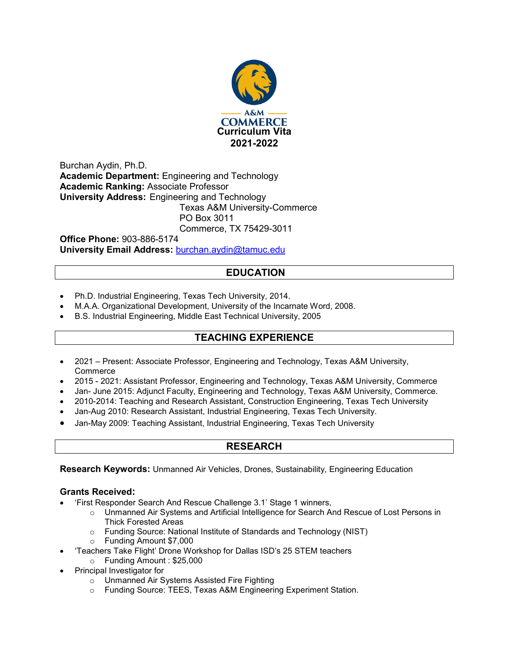

Burchan Aydin, Ph.D. **Academic Department:** Engineering and Technology **Academic Ranking:** Associate Professor **University Address:** Engineering and Technology Texas A&M University-Commerce PO Box 3011 Commerce, TX 75429-3011

**Office Phone:** 903-886-5174 **University Email Address:** [burchan.aydin@tamuc.edu](mailto:burchan.aydin@tamuc.edu)

# **EDUCATION**

- Ph.D. Industrial Engineering, Texas Tech University, 2014.
- M.A.A. Organizational Development, University of the Incarnate Word, 2008.
- B.S. Industrial Engineering, Middle East Technical University, 2005

# **TEACHING EXPERIENCE**

- 2021 Present: Associate Professor, Engineering and Technology, Texas A&M University, **Commerce**
- 2015 2021: Assistant Professor, Engineering and Technology, Texas A&M University, Commerce
- Jan- June 2015: Adjunct Faculty, Engineering and Technology, Texas A&M University, Commerce.
- 2010-2014: Teaching and Research Assistant, Construction Engineering, Texas Tech University
- Jan-Aug 2010: Research Assistant, Industrial Engineering, Texas Tech University.
- Jan-May 2009: Teaching Assistant, Industrial Engineering, Texas Tech University

## **RESEARCH**

**Research Keywords:** Unmanned Air Vehicles, Drones, Sustainability, Engineering Education

#### **Grants Received:**

- 'First Responder Search And Rescue Challenge 3.1' Stage 1 winners,
	- o Unmanned Air Systems and Artificial Intelligence for Search And Rescue of Lost Persons in Thick Forested Areas
	- o Funding Source: National Institute of Standards and Technology (NIST)
	- o Funding Amount \$7,000
- 'Teachers Take Flight' Drone Workshop for Dallas ISD's 25 STEM teachers
	- o Funding Amount : \$25,000
- Principal Investigator for
	- o Unmanned Air Systems Assisted Fire Fighting
	- o Funding Source: TEES, Texas A&M Engineering Experiment Station.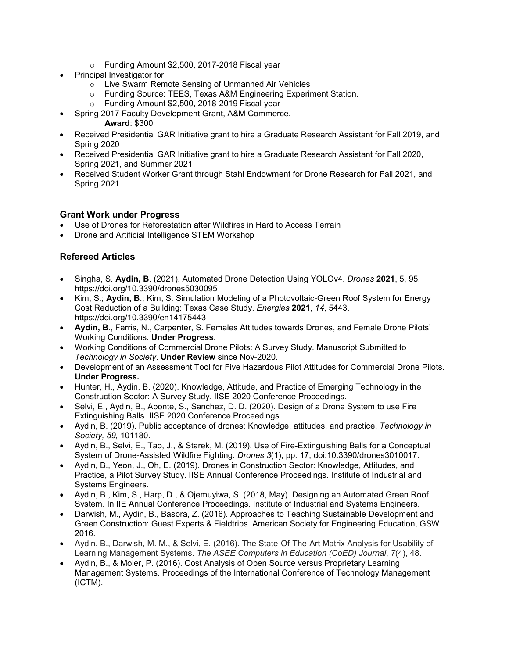- o Funding Amount \$2,500, 2017-2018 Fiscal year
- Principal Investigator for
	- o Live Swarm Remote Sensing of Unmanned Air Vehicles
	- o Funding Source: TEES, Texas A&M Engineering Experiment Station.
	- o Funding Amount \$2,500, 2018-2019 Fiscal year
- Spring 2017 Faculty Development Grant, A&M Commerce.

#### **Award**: \$300

- Received Presidential GAR Initiative grant to hire a Graduate Research Assistant for Fall 2019, and Spring 2020
- Received Presidential GAR Initiative grant to hire a Graduate Research Assistant for Fall 2020, Spring 2021, and Summer 2021
- Received Student Worker Grant through Stahl Endowment for Drone Research for Fall 2021, and Spring 2021

## **Grant Work under Progress**

- Use of Drones for Reforestation after Wildfires in Hard to Access Terrain
- Drone and Artificial Intelligence STEM Workshop

## **Refereed Articles**

- Singha, S. **Aydin, B**. (2021). Automated Drone Detection Using YOLOv4. *Drones* **2021**, 5, 95. https://doi.org/10.3390/drones5030095
- Kim, S.; **Aydin, B**.; Kim, S. Simulation Modeling of a Photovoltaic-Green Roof System for Energy Cost Reduction of a Building: Texas Case Study. *Energies* **2021**, *14*, 5443. https://doi.org/10.3390/en14175443
- **Aydin, B**., Farris, N., Carpenter, S. Females Attitudes towards Drones, and Female Drone Pilots' Working Conditions. **Under Progress.**
- Working Conditions of Commercial Drone Pilots: A Survey Study. Manuscript Submitted to *Technology in Society*. **Under Review** since Nov-2020.
- Development of an Assessment Tool for Five Hazardous Pilot Attitudes for Commercial Drone Pilots. **Under Progress.**
- Hunter, H., Aydin, B. (2020). Knowledge, Attitude, and Practice of Emerging Technology in the Construction Sector: A Survey Study. IISE 2020 Conference Proceedings.
- Selvi, E., Aydin, B., Aponte, S., Sanchez, D. D. (2020). Design of a Drone System to use Fire Extinguishing Balls. IISE 2020 Conference Proceedings.
- Aydin, B. (2019). Public acceptance of drones: Knowledge, attitudes, and practice. *Technology in Society, 59,* 101180.
- Aydin, B., Selvi, E., Tao, J., & Starek, M. (2019). Use of Fire-Extinguishing Balls for a Conceptual System of Drone-Assisted Wildfire Fighting. *Drones 3*(1), pp. 17, doi:10.3390/drones3010017.
- Aydin, B., Yeon, J., Oh, E. (2019). Drones in Construction Sector: Knowledge, Attitudes, and Practice, a Pilot Survey Study. IISE Annual Conference Proceedings. Institute of Industrial and Systems Engineers.
- Aydin, B., Kim, S., Harp, D., & Ojemuyiwa, S. (2018, May). Designing an Automated Green Roof System. In IIE Annual Conference Proceedings. Institute of Industrial and Systems Engineers.
- Darwish, M., Aydin, B., Basora, Z. (2016). Approaches to Teaching Sustainable Development and Green Construction: Guest Experts & Fieldtrips. American Society for Engineering Education, GSW 2016.
- Aydin, B., Darwish, M. M., & Selvi, E. (2016). The State-Of-The-Art Matrix Analysis for Usability of Learning Management Systems. *The ASEE Computers in Education (CoED) Journal*, *7*(4), 48.
- Aydin, B., & Moler, P. (2016). Cost Analysis of Open Source versus Proprietary Learning Management Systems. Proceedings of the International Conference of Technology Management (ICTM).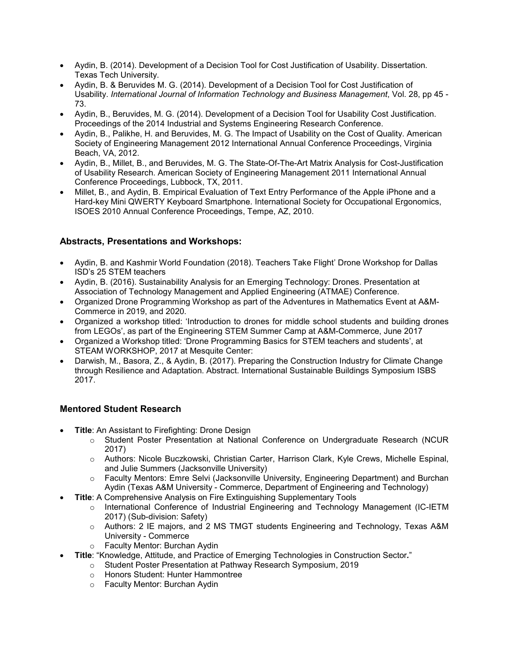- Aydin, B. (2014). Development of a Decision Tool for Cost Justification of Usability. Dissertation. Texas Tech University.
- Aydin, B. & Beruvides M. G. (2014). Development of a Decision Tool for Cost Justification of Usability. *International Journal of Information Technology and Business Management*, Vol. 28, pp 45 - 73.
- Aydin, B., Beruvides, M. G. (2014). Development of a Decision Tool for Usability Cost Justification. Proceedings of the 2014 Industrial and Systems Engineering Research Conference.
- Aydin, B., Palikhe, H. and Beruvides, M. G. The Impact of Usability on the Cost of Quality. American Society of Engineering Management 2012 International Annual Conference Proceedings, Virginia Beach, VA, 2012.
- Aydin, B., Millet, B., and Beruvides, M. G. The State-Of-The-Art Matrix Analysis for Cost-Justification of Usability Research. American Society of Engineering Management 2011 International Annual Conference Proceedings, Lubbock, TX, 2011.
- Millet, B., and Aydin, B. Empirical Evaluation of Text Entry Performance of the Apple iPhone and a Hard-key Mini QWERTY Keyboard Smartphone. International Society for Occupational Ergonomics, ISOES 2010 Annual Conference Proceedings, Tempe, AZ, 2010.

## **Abstracts, Presentations and Workshops:**

- Aydin, B. and Kashmir World Foundation (2018). Teachers Take Flight' Drone Workshop for Dallas ISD's 25 STEM teachers
- Aydin, B. (2016). Sustainability Analysis for an Emerging Technology: Drones. Presentation at Association of Technology Management and Applied Engineering (ATMAE) Conference.
- Organized Drone Programming Workshop as part of the Adventures in Mathematics Event at A&M-Commerce in 2019, and 2020.
- Organized a workshop titled: 'Introduction to drones for middle school students and building drones from LEGOs', as part of the Engineering STEM Summer Camp at A&M-Commerce, June 2017
- Organized a Workshop titled: 'Drone Programming Basics for STEM teachers and students', at STEAM WORKSHOP, 2017 at Mesquite Center:
- Darwish, M., Basora, Z., & Aydin, B. (2017). Preparing the Construction Industry for Climate Change through Resilience and Adaptation. Abstract. International Sustainable Buildings Symposium ISBS 2017.

## **Mentored Student Research**

- **Title:** An Assistant to Firefighting: Drone Design
	- o Student Poster Presentation at National Conference on Undergraduate Research (NCUR 2017)
	- o Authors: Nicole Buczkowski, Christian Carter, Harrison Clark, Kyle Crews, Michelle Espinal, and Julie Summers (Jacksonville University)
	- o Faculty Mentors: Emre Selvi (Jacksonville University, Engineering Department) and Burchan Aydin (Texas A&M University - Commerce, Department of Engineering and Technology)
- **Title:** A Comprehensive Analysis on Fire Extinguishing Supplementary Tools
	- o International Conference of Industrial Engineering and Technology Management (IC-IETM 2017) (Sub-division: Safety)
	- o Authors: 2 IE majors, and 2 MS TMGT students Engineering and Technology, Texas A&M University - Commerce
	- o Faculty Mentor: Burchan Aydin
- **Title**: "Knowledge, Attitude, and Practice of Emerging Technologies in Construction Sector*.*"
	- o Student Poster Presentation at Pathway Research Symposium, 2019
	- o Honors Student: Hunter Hammontree
	- o Faculty Mentor: Burchan Aydin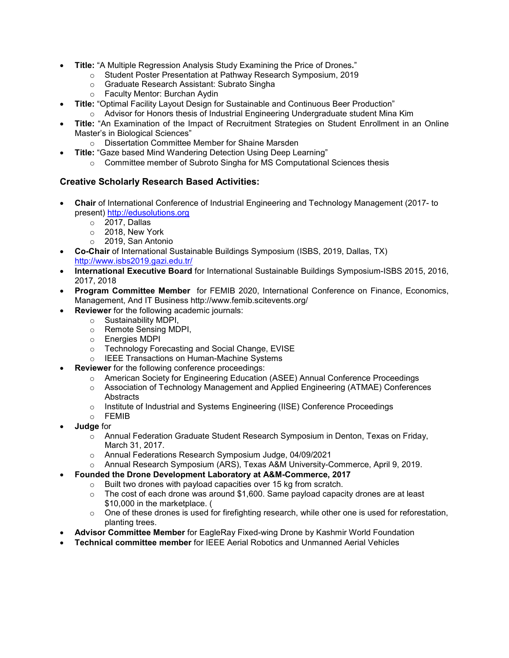- **Title:** "A Multiple Regression Analysis Study Examining the Price of Drones*.*"
	- o Student Poster Presentation at Pathway Research Symposium, 2019
	- o Graduate Research Assistant: Subrato Singha
	- o Faculty Mentor: Burchan Aydin
- **Title:** "Optimal Facility Layout Design for Sustainable and Continuous Beer Production"
	- $\circ$  Advisor for Honors thesis of Industrial Engineering Undergraduate student Mina Kim
- **Title:** "An Examination of the Impact of Recruitment Strategies on Student Enrollment in an Online Master's in Biological Sciences"
	- o Dissertation Committee Member for Shaine Marsden
- **Title:** "Gaze based Mind Wandering Detection Using Deep Learning"
	- o Committee member of Subroto Singha for MS Computational Sciences thesis

## **Creative Scholarly Research Based Activities:**

- **Chair** of International Conference of Industrial Engineering and Technology Management (2017- to present) [http://edusolutions.org](http://www.edusolutions.org/)
	- o 2017, Dallas
	- $\circ$  2018, New York<br> $\circ$  2019. San Anton
	- 2019, San Antonio
- **Co-Chair** of International Sustainable Buildings Symposium (ISBS, 2019, Dallas, TX) <http://www.isbs2019.gazi.edu.tr/>
- **International Executive Board** for International Sustainable Buildings Symposium-ISBS 2015, 2016, 2017, 2018
- **Program Committee Member** for FEMIB 2020, International Conference on Finance, Economics, Management, And IT Business http://www.femib.scitevents.org/
- **Reviewer** for the following academic journals:
	- o Sustainability MDPI,
	- o Remote Sensing MDPI,
	- o Energies MDPI
	- o Technology Forecasting and Social Change, EVISE
	- o IEEE Transactions on Human-Machine Systems
- **Reviewer** for the following conference proceedings:
	- o American Society for Engineering Education (ASEE) Annual Conference Proceedings
		- o Association of Technology Management and Applied Engineering (ATMAE) Conferences **Abstracts**
	- o Institute of Industrial and Systems Engineering (IISE) Conference Proceedings
	- o FEMIB
- **Judge** for
	- o Annual Federation Graduate Student Research Symposium in Denton, Texas on Friday, March 31, 2017.
	- o Annual Federations Research Symposium Judge, 04/09/2021
	- o Annual Research Symposium (ARS), Texas A&M University-Commerce, April 9, 2019.
	- **Founded the Drone Development Laboratory at A&M-Commerce, 2017** 
		- o Built two drones with payload capacities over 15 kg from scratch.
			- $\circ$  The cost of each drone was around \$1,600. Same payload capacity drones are at least \$10,000 in the marketplace. (
			- $\circ$  One of these drones is used for firefighting research, while other one is used for reforestation, planting trees.
- **Advisor Committee Member** for EagleRay Fixed-wing Drone by Kashmir World Foundation
- **Technical committee member** for IEEE Aerial Robotics and Unmanned Aerial Vehicles